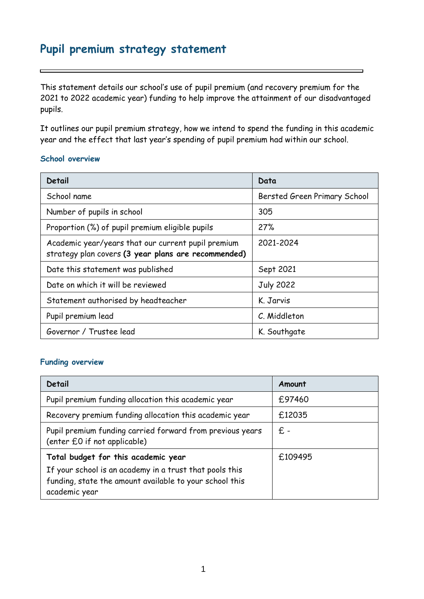# **Pupil premium strategy statement**

This statement details our school's use of pupil premium (and recovery premium for the 2021 to 2022 academic year) funding to help improve the attainment of our disadvantaged pupils.

It outlines our pupil premium strategy, how we intend to spend the funding in this academic year and the effect that last year's spending of pupil premium had within our school.

#### **School overview**

| Detail                                                                                                    | Data                         |
|-----------------------------------------------------------------------------------------------------------|------------------------------|
| School name                                                                                               | Bersted Green Primary School |
| Number of pupils in school                                                                                | 305                          |
| Proportion (%) of pupil premium eligible pupils                                                           | 27%                          |
| Academic year/years that our current pupil premium<br>strategy plan covers (3 year plans are recommended) | 2021-2024                    |
| Date this statement was published                                                                         | Sept 2021                    |
| Date on which it will be reviewed                                                                         | <b>July 2022</b>             |
| Statement authorised by headteacher                                                                       | K. Jarvis                    |
| Pupil premium lead                                                                                        | C. Middleton                 |
| Governor / Trustee lead                                                                                   | K. Southgate                 |

### **Funding overview**

| <b>Detail</b>                                                                                  | Amount  |
|------------------------------------------------------------------------------------------------|---------|
| Pupil premium funding allocation this academic year                                            | £97460  |
| Recovery premium funding allocation this academic year                                         | £12035  |
| Pupil premium funding carried forward from previous years<br>(enter £0 if not applicable)      | £ -     |
| Total budget for this academic year<br>If your school is an academy in a trust that pools this | £109495 |
| funding, state the amount available to your school this<br>academic year                       |         |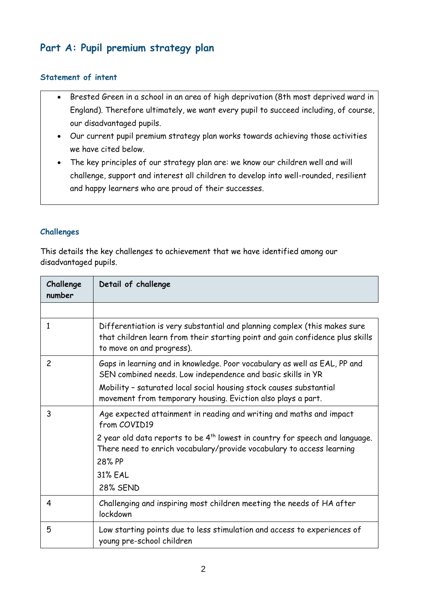# **Part A: Pupil premium strategy plan**

## **Statement of intent**

- Brested Green in a school in an area of high deprivation (8th most deprived ward in England). Therefore ultimately, we want every pupil to succeed including, of course, our disadvantaged pupils.
- Our current pupil premium strategy plan works towards achieving those activities we have cited below.
- The key principles of our strategy plan are: we know our children well and will challenge, support and interest all children to develop into well-rounded, resilient and happy learners who are proud of their successes.

## **Challenges**

This details the key challenges to achievement that we have identified among our disadvantaged pupils.

| Challenge<br>number | Detail of challenge                                                                                                                                                                     |
|---------------------|-----------------------------------------------------------------------------------------------------------------------------------------------------------------------------------------|
|                     |                                                                                                                                                                                         |
| 1                   | Differentiation is very substantial and planning complex (this makes sure<br>that children learn from their starting point and gain confidence plus skills<br>to move on and progress). |
| $\overline{c}$      | Gaps in learning and in knowledge. Poor vocabulary as well as EAL, PP and<br>SEN combined needs. Low independence and basic skills in YR                                                |
|                     | Mobility - saturated local social housing stock causes substantial<br>movement from temporary housing. Eviction also plays a part.                                                      |
| 3                   | Age expected attainment in reading and writing and maths and impact<br>from COVID19                                                                                                     |
|                     | 2 year old data reports to be $4^{th}$ lowest in country for speech and language.<br>There need to enrich vocabulary/provide vocabulary to access learning                              |
|                     | 28% PP                                                                                                                                                                                  |
|                     | <b>31% EAL</b>                                                                                                                                                                          |
|                     | <b>28% SEND</b>                                                                                                                                                                         |
| 4                   | Challenging and inspiring most children meeting the needs of HA after<br>lockdown                                                                                                       |
| 5                   | Low starting points due to less stimulation and access to experiences of<br>young pre-school children                                                                                   |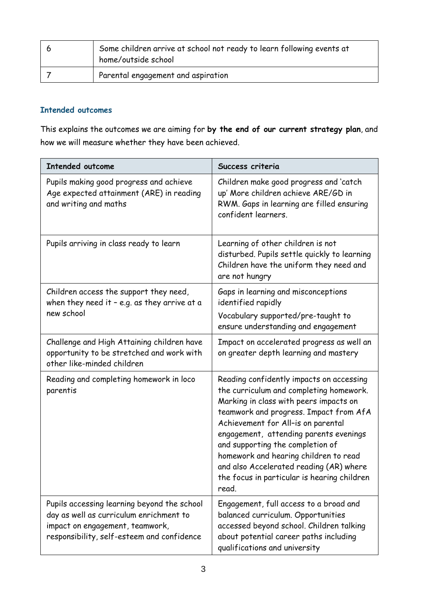| Some children arrive at school not ready to learn following events at<br>home/outside school |
|----------------------------------------------------------------------------------------------|
| Parental engagement and aspiration                                                           |

## **Intended outcomes**

This explains the outcomes we are aiming for **by the end of our current strategy plan**, and how we will measure whether they have been achieved.

| <b>Intended outcome</b>                                                                                                                                                 | Success criteria                                                                                                                                                                                                                                                                                                                                                                                                                        |
|-------------------------------------------------------------------------------------------------------------------------------------------------------------------------|-----------------------------------------------------------------------------------------------------------------------------------------------------------------------------------------------------------------------------------------------------------------------------------------------------------------------------------------------------------------------------------------------------------------------------------------|
| Pupils making good progress and achieve<br>Age expected attainment (ARE) in reading<br>and writing and maths                                                            | Children make good progress and 'catch<br>up' More children achieve ARE/GD in<br>RWM. Gaps in learning are filled ensuring<br>confident learners.                                                                                                                                                                                                                                                                                       |
| Pupils arriving in class ready to learn                                                                                                                                 | Learning of other children is not<br>disturbed. Pupils settle quickly to learning<br>Children have the uniform they need and<br>are not hungry                                                                                                                                                                                                                                                                                          |
| Children access the support they need,<br>when they need it - e.g. as they arrive at a                                                                                  | Gaps in learning and misconceptions<br>identified rapidly                                                                                                                                                                                                                                                                                                                                                                               |
| new school                                                                                                                                                              | Vocabulary supported/pre-taught to<br>ensure understanding and engagement                                                                                                                                                                                                                                                                                                                                                               |
| Challenge and High Attaining children have<br>opportunity to be stretched and work with<br>other like-minded children                                                   | Impact on accelerated progress as well an<br>on greater depth learning and mastery                                                                                                                                                                                                                                                                                                                                                      |
| Reading and completing homework in loco<br>parentis                                                                                                                     | Reading confidently impacts on accessing<br>the curriculum and completing homework.<br>Marking in class with peers impacts on<br>teamwork and progress. Impact from AfA<br>Achievement for All-is on parental<br>engagement, attending parents evenings<br>and supporting the completion of<br>homework and hearing children to read<br>and also Accelerated reading (AR) where<br>the focus in particular is hearing children<br>read. |
| Pupils accessing learning beyond the school<br>day as well as curriculum enrichment to<br>impact on engagement, teamwork,<br>responsibility, self-esteem and confidence | Engagement, full access to a broad and<br>balanced curriculum. Opportunities<br>accessed beyond school. Children talking<br>about potential career paths including<br>qualifications and university                                                                                                                                                                                                                                     |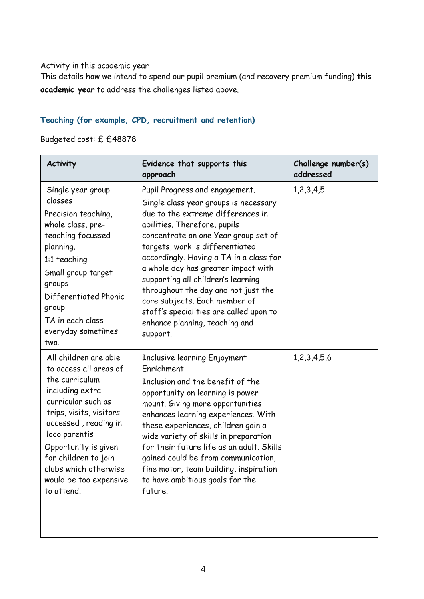### Activity in this academic year

This details how we intend to spend our pupil premium (and recovery premium funding) **this academic year** to address the challenges listed above.

## **Teaching (for example, CPD, recruitment and retention)**

Budgeted cost: £ £48878

| <b>Activity</b>                                                                                                                                                                                                                                                                                 | Evidence that supports this<br>approach                                                                                                                                                                                                                                                                                                                                                                                                                                                                          | Challenge number(s)<br>addressed |
|-------------------------------------------------------------------------------------------------------------------------------------------------------------------------------------------------------------------------------------------------------------------------------------------------|------------------------------------------------------------------------------------------------------------------------------------------------------------------------------------------------------------------------------------------------------------------------------------------------------------------------------------------------------------------------------------------------------------------------------------------------------------------------------------------------------------------|----------------------------------|
| Single year group<br>classes<br>Precision teaching,<br>whole class, pre-<br>teaching focussed<br>planning.<br>1:1 teaching<br>Small group target<br>groups<br>Differentiated Phonic<br>group<br>TA in each class<br>everyday sometimes<br>two.                                                  | Pupil Progress and engagement.<br>Single class year groups is necessary<br>due to the extreme differences in<br>abilities. Therefore, pupils<br>concentrate on one Year group set of<br>targets, work is differentiated<br>accordingly. Having a TA in a class for<br>a whole day has greater impact with<br>supporting all children's learning<br>throughout the day and not just the<br>core subjects. Each member of<br>staff's specialities are called upon to<br>enhance planning, teaching and<br>support. | 1,2,3,4,5                        |
| All children are able<br>to access all areas of<br>the curriculum<br>including extra<br>curricular such as<br>trips, visits, visitors<br>accessed, reading in<br>loco parentis<br>Opportunity is given<br>for children to join<br>clubs which otherwise<br>would be too expensive<br>to attend. | Inclusive learning Enjoyment<br>Enrichment<br>Inclusion and the benefit of the<br>opportunity on learning is power<br>mount. Giving more opportunities<br>enhances learning experiences. With<br>these experiences, children gain a<br>wide variety of skills in preparation<br>for their future life as an adult. Skills<br>gained could be from communication,<br>fine motor, team building, inspiration<br>to have ambitious goals for the<br>future.                                                         | 1,2,3,4,5,6                      |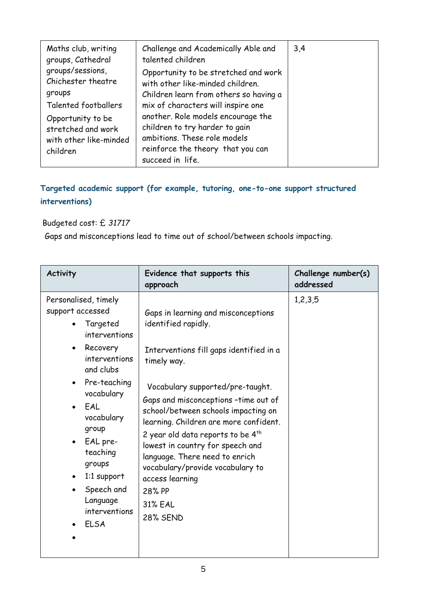| Maths club, writing<br>groups, Cathedral                                      | Challenge and Academically Able and<br>talented children                                                                                                      | 3,4 |
|-------------------------------------------------------------------------------|---------------------------------------------------------------------------------------------------------------------------------------------------------------|-----|
| groups/sessions,<br>Chichester theatre<br>groups                              | Opportunity to be stretched and work<br>with other like-minded children.<br>Children learn from others so having a                                            |     |
| Talented footballers                                                          | mix of characters will inspire one                                                                                                                            |     |
| Opportunity to be<br>stretched and work<br>with other like-minded<br>children | another. Role models encourage the<br>children to try harder to gain<br>ambitions. These role models<br>reinforce the theory that you can<br>succeed in life. |     |

## **Targeted academic support (for example, tutoring, one-to-one support structured interventions)**

## Budgeted cost: £ *31717*

Gaps and misconceptions lead to time out of school/between schools impacting.

| <b>Activity</b>                                                                                                                                                                                                                                                                        | Evidence that supports this<br>approach                                                                                                                                                                                                                                                                                                                                                                                                                                                                 | Challenge number(s)<br>addressed |
|----------------------------------------------------------------------------------------------------------------------------------------------------------------------------------------------------------------------------------------------------------------------------------------|---------------------------------------------------------------------------------------------------------------------------------------------------------------------------------------------------------------------------------------------------------------------------------------------------------------------------------------------------------------------------------------------------------------------------------------------------------------------------------------------------------|----------------------------------|
| Personalised, timely<br>support accessed<br>Targeted<br>interventions<br>Recovery<br>interventions<br>and clubs<br>Pre-teaching<br>vocabulary<br>EAL<br>vocabulary<br>group<br>EAL pre-<br>teaching<br>groups<br>1:1 support<br>Speech and<br>Language<br>interventions<br><b>ELSA</b> | Gaps in learning and misconceptions<br>identified rapidly.<br>Interventions fill gaps identified in a<br>timely way.<br>Vocabulary supported/pre-taught.<br>Gaps and misconceptions -time out of<br>school/between schools impacting on<br>learning. Children are more confident.<br>2 year old data reports to be $4^{th}$<br>lowest in country for speech and<br>language. There need to enrich<br>vocabulary/provide vocabulary to<br>access learning<br>28% PP<br><b>31% EAL</b><br><b>28% SEND</b> | 1,2,3,5                          |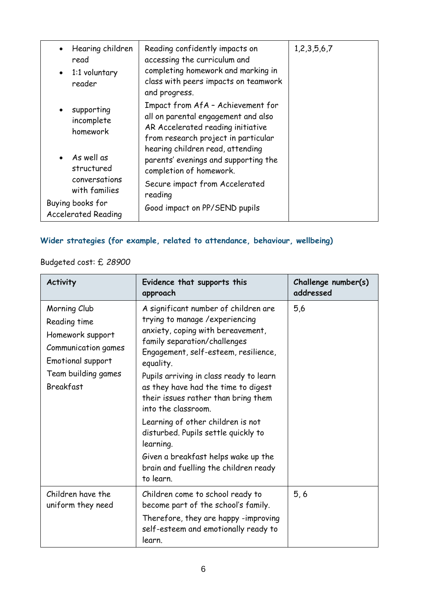| Hearing children<br>$\bullet$<br>read<br>$\bullet$ 1:1 voluntary<br>reader | Reading confidently impacts on<br>accessing the curriculum and<br>completing homework and marking in<br>class with peers impacts on teamwork<br>and progress. | 1, 2, 3, 5, 6, 7 |
|----------------------------------------------------------------------------|---------------------------------------------------------------------------------------------------------------------------------------------------------------|------------------|
| supporting<br>$\bullet$<br>incomplete<br>homework                          | Impact from AfA - Achievement for<br>all on parental engagement and also<br>AR Accelerated reading initiative<br>from research project in particular          |                  |
| $\bullet$ As well as<br>structured<br>conversations<br>with families       | hearing children read, attending<br>parents' evenings and supporting the<br>completion of homework.<br>Secure impact from Accelerated<br>reading              |                  |
| Buying books for<br><b>Accelerated Reading</b>                             | Good impact on PP/SEND pupils                                                                                                                                 |                  |

# **Wider strategies (for example, related to attendance, behaviour, wellbeing)**

Budgeted cost: £ *28900*

| <b>Activity</b>                                                                                                                         | Evidence that supports this<br>approach                                                                                                                                                                                                                                                                                                           | Challenge number(s)<br>addressed |
|-----------------------------------------------------------------------------------------------------------------------------------------|---------------------------------------------------------------------------------------------------------------------------------------------------------------------------------------------------------------------------------------------------------------------------------------------------------------------------------------------------|----------------------------------|
| Morning Club<br>Reading time<br>Homework support<br>Communication games<br>Emotional support<br>Team building games<br><b>Breakfast</b> | A significant number of children are<br>trying to manage / experiencing<br>anxiety, coping with bereavement,<br>family separation/challenges<br>Engagement, self-esteem, resilience,<br>equality.<br>Pupils arriving in class ready to learn<br>as they have had the time to digest<br>their issues rather than bring them<br>into the classroom. | 5,6                              |
|                                                                                                                                         | Learning of other children is not<br>disturbed. Pupils settle quickly to<br>learning.                                                                                                                                                                                                                                                             |                                  |
|                                                                                                                                         | Given a breakfast helps wake up the<br>brain and fuelling the children ready<br>to learn.                                                                                                                                                                                                                                                         |                                  |
| Children have the<br>uniform they need                                                                                                  | Children come to school ready to<br>become part of the school's family.<br>Therefore, they are happy -improving<br>self-esteem and emotionally ready to<br>learn.                                                                                                                                                                                 | 5, 6                             |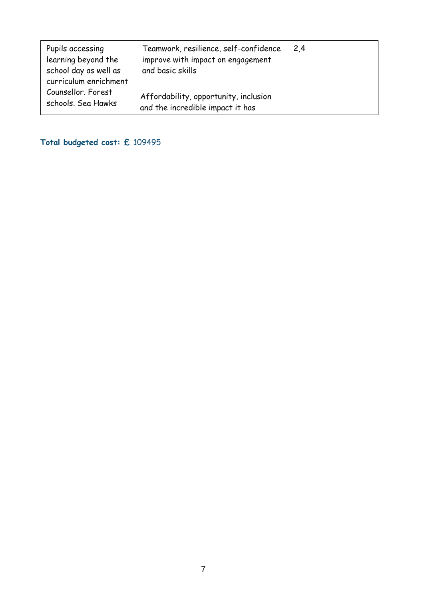| Pupils accessing<br>learning beyond the<br>school day as well as  | Teamwork, resilience, self-confidence<br>improve with impact on engagement<br>and basic skills | 2,4 |
|-------------------------------------------------------------------|------------------------------------------------------------------------------------------------|-----|
| curriculum enrichment<br>Counsellor. Forest<br>schools. Sea Hawks | Affordability, opportunity, inclusion<br>and the incredible impact it has                      |     |

# **Total budgeted cost: £** 109495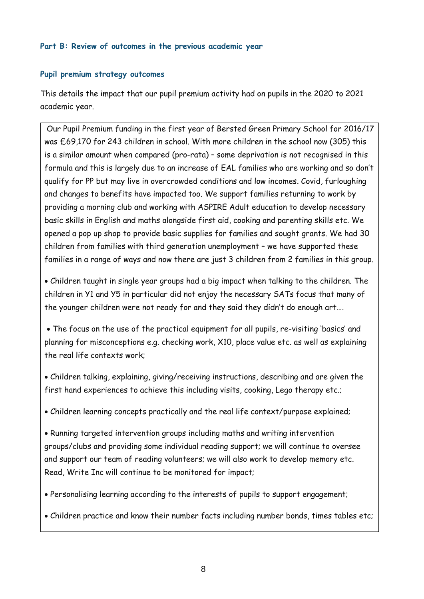### **Part B: Review of outcomes in the previous academic year**

#### **Pupil premium strategy outcomes**

This details the impact that our pupil premium activity had on pupils in the 2020 to 2021 academic year.

Our Pupil Premium funding in the first year of Bersted Green Primary School for 2016/17 was £69,170 for 243 children in school. With more children in the school now (305) this is a similar amount when compared (pro-rata) – some deprivation is not recognised in this formula and this is largely due to an increase of EAL families who are working and so don't qualify for PP but may live in overcrowded conditions and low incomes. Covid, furloughing and changes to benefits have impacted too. We support families returning to work by providing a morning club and working with ASPIRE Adult education to develop necessary basic skills in English and maths alongside first aid, cooking and parenting skills etc. We opened a pop up shop to provide basic supplies for families and sought grants. We had 30 children from families with third generation unemployment – we have supported these families in a range of ways and now there are just 3 children from 2 families in this group.

 Children taught in single year groups had a big impact when talking to the children. The children in Y1 and Y5 in particular did not enjoy the necessary SATs focus that many of the younger children were not ready for and they said they didn't do enough art….

 The focus on the use of the practical equipment for all pupils, re-visiting 'basics' and planning for misconceptions e.g. checking work, X10, place value etc. as well as explaining the real life contexts work;

 Children talking, explaining, giving/receiving instructions, describing and are given the first hand experiences to achieve this including visits, cooking, Lego therapy etc.;

Children learning concepts practically and the real life context/purpose explained;

 Running targeted intervention groups including maths and writing intervention groups/clubs and providing some individual reading support; we will continue to oversee and support our team of reading volunteers; we will also work to develop memory etc. Read, Write Inc will continue to be monitored for impact;

Personalising learning according to the interests of pupils to support engagement;

Children practice and know their number facts including number bonds, times tables etc;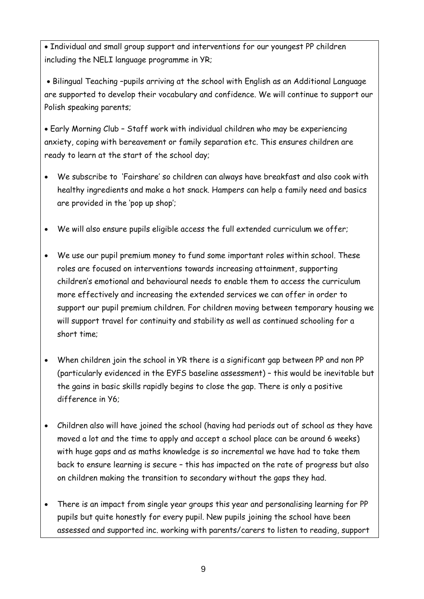Individual and small group support and interventions for our youngest PP children including the NELI language programme in YR;

 Bilingual Teaching –pupils arriving at the school with English as an Additional Language are supported to develop their vocabulary and confidence. We will continue to support our Polish speaking parents;

 Early Morning Club – Staff work with individual children who may be experiencing anxiety, coping with bereavement or family separation etc. This ensures children are ready to learn at the start of the school day;

- We subscribe to 'Fairshare' so children can always have breakfast and also cook with healthy ingredients and make a hot snack. Hampers can help a family need and basics are provided in the 'pop up shop';
- We will also ensure pupils eligible access the full extended curriculum we offer;
- We use our pupil premium money to fund some important roles within school. These roles are focused on interventions towards increasing attainment, supporting children's emotional and behavioural needs to enable them to access the curriculum more effectively and increasing the extended services we can offer in order to support our pupil premium children. For children moving between temporary housing we will support travel for continuity and stability as well as continued schooling for a short time;
- When children join the school in YR there is a significant gap between PP and non PP (particularly evidenced in the EYFS baseline assessment) – this would be inevitable but the gains in basic skills rapidly begins to close the gap. There is only a positive difference in Y6;
- Children also will have joined the school (having had periods out of school as they have moved a lot and the time to apply and accept a school place can be around 6 weeks) with huge gaps and as maths knowledge is so incremental we have had to take them back to ensure learning is secure – this has impacted on the rate of progress but also on children making the transition to secondary without the gaps they had.
- There is an impact from single year groups this year and personalising learning for PP pupils but quite honestly for every pupil. New pupils joining the school have been assessed and supported inc. working with parents/carers to listen to reading, support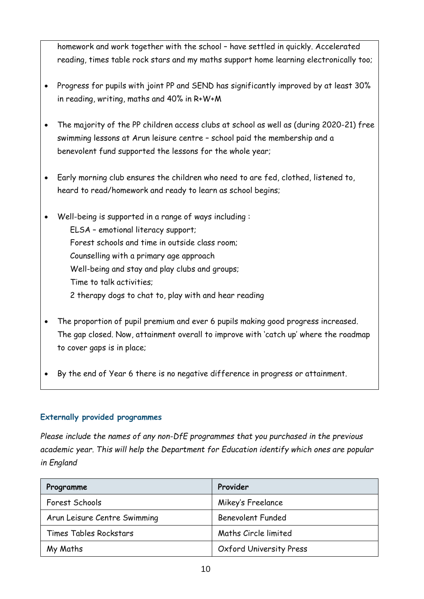homework and work together with the school – have settled in quickly. Accelerated reading, times table rock stars and my maths support home learning electronically too;

- Progress for pupils with joint PP and SEND has significantly improved by at least 30% in reading, writing, maths and 40% in R+W+M
- The majority of the PP children access clubs at school as well as (during 2020-21) free swimming lessons at Arun leisure centre – school paid the membership and a benevolent fund supported the lessons for the whole year;
- Early morning club ensures the children who need to are fed, clothed, listened to, heard to read/homework and ready to learn as school begins;
- Well-being is supported in a range of ways including : ELSA – emotional literacy support; Forest schools and time in outside class room; Counselling with a primary age approach Well-being and stay and play clubs and groups; Time to talk activities;
	- 2 therapy dogs to chat to, play with and hear reading
- The proportion of pupil premium and ever 6 pupils making good progress increased. The gap closed. Now, attainment overall to improve with 'catch up' where the roadmap to cover gaps is in place;
- By the end of Year 6 there is no negative difference in progress or attainment.

## **Externally provided programmes**

*Please include the names of any non-DfE programmes that you purchased in the previous academic year. This will help the Department for Education identify which ones are popular in England*

| Programme                     | Provider                       |
|-------------------------------|--------------------------------|
| Forest Schools                | Mikey's Freelance              |
| Arun Leisure Centre Swimming  | <b>Benevolent Funded</b>       |
| <b>Times Tables Rockstars</b> | Maths Circle limited           |
| My Maths                      | <b>Oxford University Press</b> |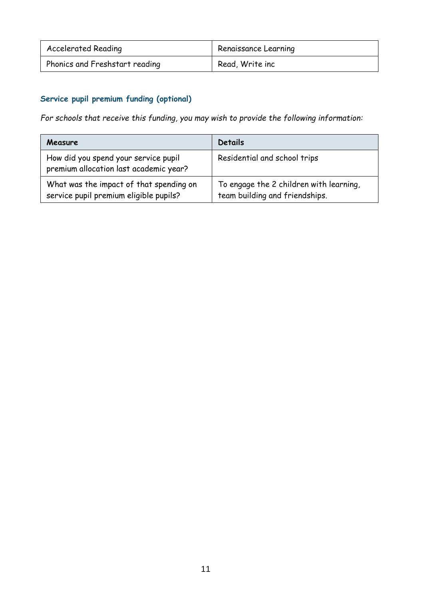| <b>Accelerated Reading</b>     | Renaissance Learning |
|--------------------------------|----------------------|
| Phonics and Freshstart reading | Read, Write inc      |

## **Service pupil premium funding (optional)**

*For schools that receive this funding, you may wish to provide the following information:* 

| Measure                                                                           | <b>Details</b>                                                            |
|-----------------------------------------------------------------------------------|---------------------------------------------------------------------------|
| How did you spend your service pupil<br>premium allocation last academic year?    | Residential and school trips                                              |
| What was the impact of that spending on<br>service pupil premium eligible pupils? | To engage the 2 children with learning,<br>team building and friendships. |